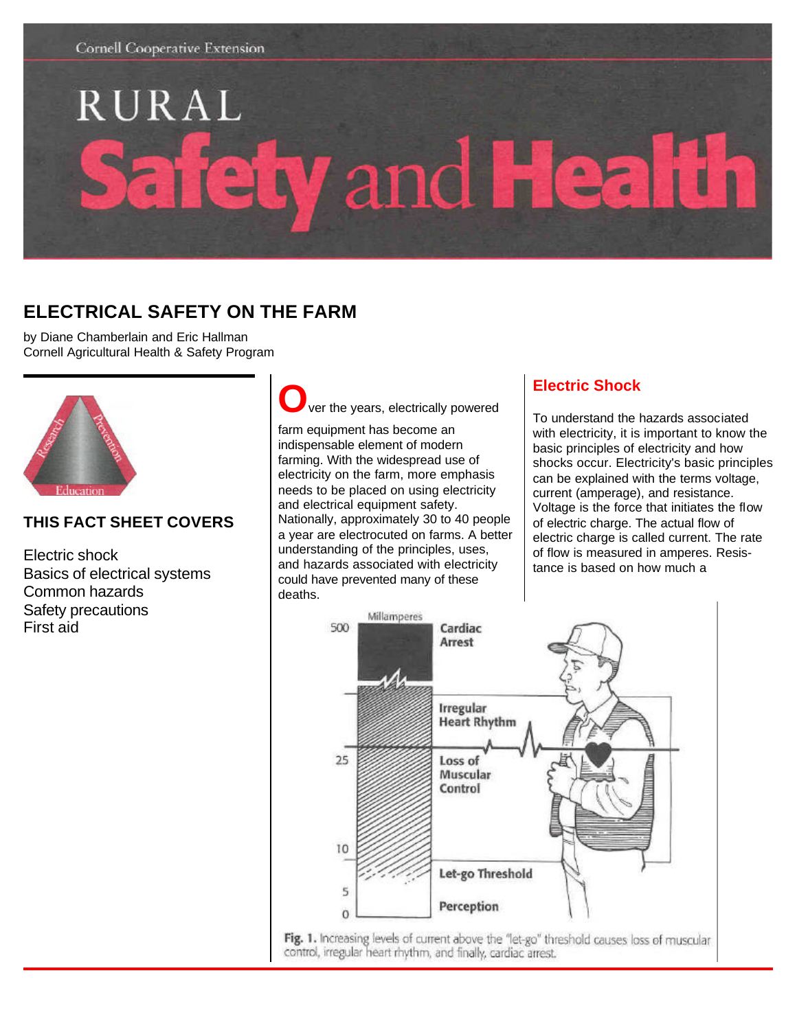

# RURAL  **and He**  $\bullet$

# **ELECTRICAL SAFETY ON THE FARM**

by Diane Chamberlain and Eric Hallman Cornell Agricultural Health & Safety Program



# **THIS FACT SHEET COVERS**

Electric shock Basics of electrical systems Common hazards Safety precautions First aid

ver the years, electrically powered farm equipment has become an indispensable element of modern farming. With the widespread use of electricity on the farm, more emphasis needs to be placed on using electricity and electrical equipment safety. Nationally, approximately 30 to 40 people a year are electrocuted on farms. A better understanding of the principles, uses, and hazards associated with electricity could have prevented many of these

deaths.

# **Electric Shock**

To understand the hazards associated with electricity, it is important to know the basic principles of electricity and how shocks occur. Electricity's basic principles can be explained with the terms voltage, current (amperage), and resistance. Voltage is the force that initiates the flow of electric charge. The actual flow of electric charge is called current. The rate of flow is measured in amperes. Resistance is based on how much a



Fig. 1. Increasing levels of current above the "let-go" threshold causes loss of muscular control, irregular heart rhythm, and finally, cardiac arrest.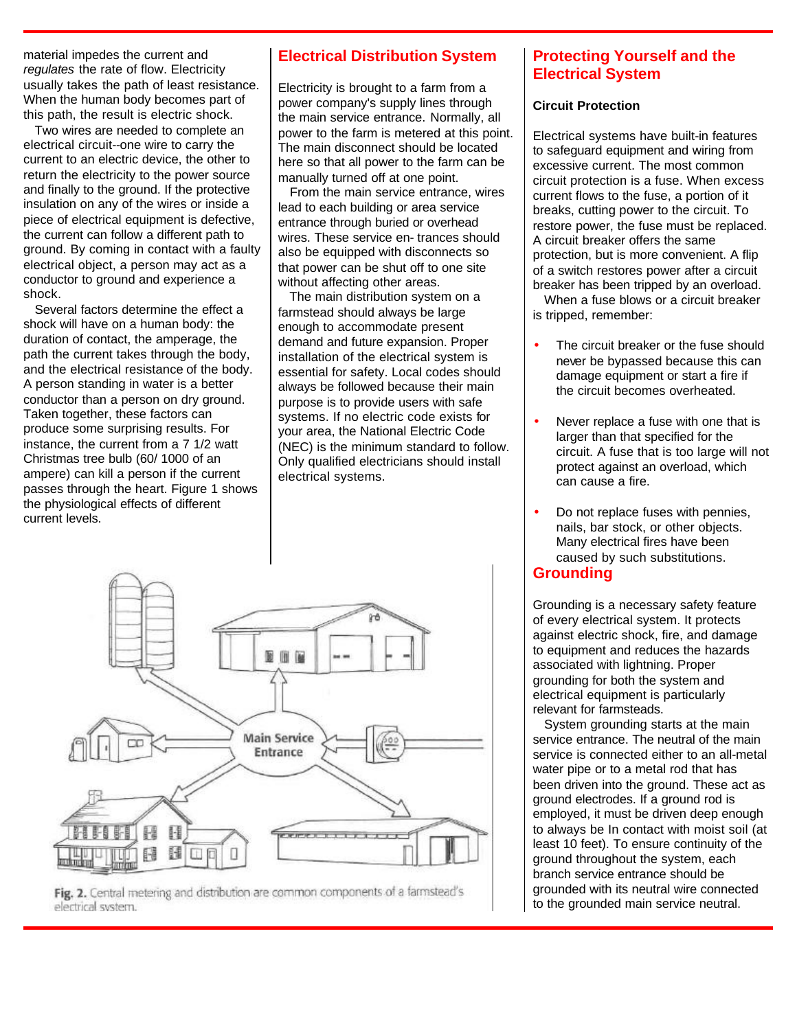material impedes the current and *regulates* the rate of flow. Electricity usually takes the path of least resistance. When the human body becomes part of this path, the result is electric shock.

 Two wires are needed to complete an electrical circuit--one wire to carry the current to an electric device, the other to return the electricity to the power source and finally to the ground. If the protective insulation on any of the wires or inside a piece of electrical equipment is defective, the current can follow a different path to ground. By coming in contact with a faulty electrical object, a person may act as a conductor to ground and experience a shock.

 Several factors determine the effect a shock will have on a human body: the duration of contact, the amperage, the path the current takes through the body, and the electrical resistance of the body. A person standing in water is a better conductor than a person on dry ground. Taken together, these factors can produce some surprising results. For instance, the current from a 7 1/2 watt Christmas tree bulb (60/ 1000 of an ampere) can kill a person if the current passes through the heart. Figure 1 shows the physiological effects of different current levels.

## **Electrical Distribution System**

Electricity is brought to a farm from a power company's supply lines through the main service entrance. Normally, all power to the farm is metered at this point. The main disconnect should be located here so that all power to the farm can be manually turned off at one point.

 From the main service entrance, wires lead to each building or area service entrance through buried or overhead wires. These service en- trances should also be equipped with disconnects so that power can be shut off to one site without affecting other areas.

 The main distribution system on a farmstead should always be large enough to accommodate present demand and future expansion. Proper installation of the electrical system is essential for safety. Local codes should always be followed because their main purpose is to provide users with safe systems. If no electric code exists for your area, the National Electric Code (NEC) is the minimum standard to follow. Only qualified electricians should install electrical systems.



Fig. 2. Central metering and distribution are common components of a farmstead's electrical system.

# **Protecting Yourself and the Electrical System**

#### **Circuit Protection**

Electrical systems have built-in features to safeguard equipment and wiring from excessive current. The most common circuit protection is a fuse. When excess current flows to the fuse, a portion of it breaks, cutting power to the circuit. To restore power, the fuse must be replaced. A circuit breaker offers the same protection, but is more convenient. A flip of a switch restores power after a circuit breaker has been tripped by an overload. When a fuse blows or a circuit breaker

is tripped, remember:

- The circuit breaker or the fuse should never be bypassed because this can damage equipment or start a fire if the circuit becomes overheated.
- Never replace a fuse with one that is larger than that specified for the circuit. A fuse that is too large will not protect against an overload, which can cause a fire.
- Do not replace fuses with pennies, nails, bar stock, or other objects. Many electrical fires have been caused by such substitutions. **Grounding**

Grounding is a necessary safety feature of every electrical system. It protects against electric shock, fire, and damage to equipment and reduces the hazards associated with lightning. Proper

grounding for both the system and electrical equipment is particularly relevant for farmsteads.

 System grounding starts at the main service entrance. The neutral of the main service is connected either to an all-metal water pipe or to a metal rod that has been driven into the ground. These act as ground electrodes. If a ground rod is employed, it must be driven deep enough to always be In contact with moist soil (at least 10 feet). To ensure continuity of the ground throughout the system, each branch service entrance should be grounded with its neutral wire connected to the grounded main service neutral.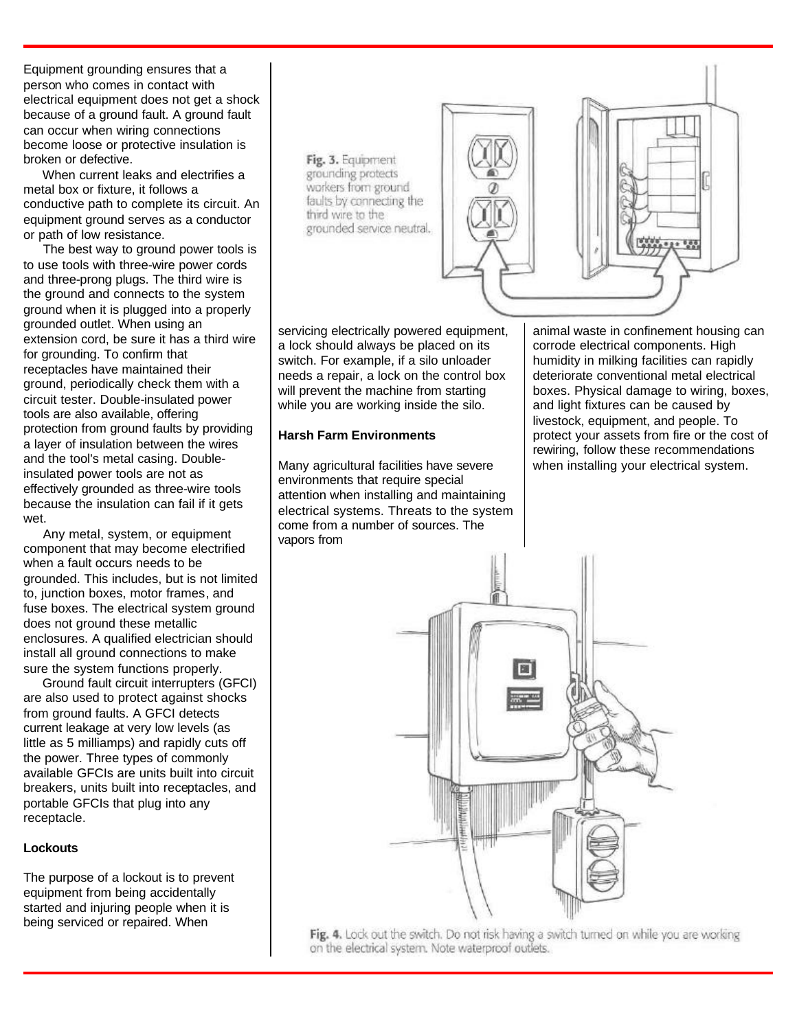Equipment grounding ensures that a person who comes in contact with electrical equipment does not get a shock because of a ground fault. A ground fault can occur when wiring connections become loose or protective insulation is broken or defective.

 When current leaks and electrifies a metal box or fixture, it follows a conductive path to complete its circuit. An equipment ground serves as a conductor or path of low resistance.

 The best way to ground power tools is to use tools with three-wire power cords and three-prong plugs. The third wire is the ground and connects to the system ground when it is plugged into a properly grounded outlet. When using an extension cord, be sure it has a third wire for grounding. To confirm that receptacles have maintained their ground, periodically check them with a circuit tester. Double-insulated power tools are also available, offering protection from ground faults by providing a layer of insulation between the wires and the tool's metal casing. Doubleinsulated power tools are not as effectively grounded as three-wire tools because the insulation can fail if it gets wet.

 Any metal, system, or equipment component that may become electrified when a fault occurs needs to be grounded. This includes, but is not limited to, junction boxes, motor frames, and fuse boxes. The electrical system ground does not ground these metallic enclosures. A qualified electrician should install all ground connections to make sure the system functions properly.

 Ground fault circuit interrupters (GFCI) are also used to protect against shocks from ground faults. A GFCI detects current leakage at very low levels (as little as 5 milliamps) and rapidly cuts off the power. Three types of commonly available GFCIs are units built into circuit breakers, units built into receptacles, and portable GFCIs that plug into any receptacle.

#### **Lockouts**

The purpose of a lockout is to prevent equipment from being accidentally started and injuring people when it is being serviced or repaired. When



servicing electrically powered equipment, a lock should always be placed on its switch. For example, if a silo unloader needs a repair, a lock on the control box will prevent the machine from starting while you are working inside the silo.

#### **Harsh Farm Environments**

Many agricultural facilities have severe environments that require special attention when installing and maintaining electrical systems. Threats to the system come from a number of sources. The vapors from

animal waste in confinement housing can corrode electrical components. High humidity in milking facilities can rapidly deteriorate conventional metal electrical boxes. Physical damage to wiring, boxes, and light fixtures can be caused by livestock, equipment, and people. To protect your assets from fire or the cost of rewiring, follow these recommendations when installing your electrical system.



Fig. 4. Lock out the switch. Do not risk having a switch turned on while you are working on the electrical system. Note waterproof outlets.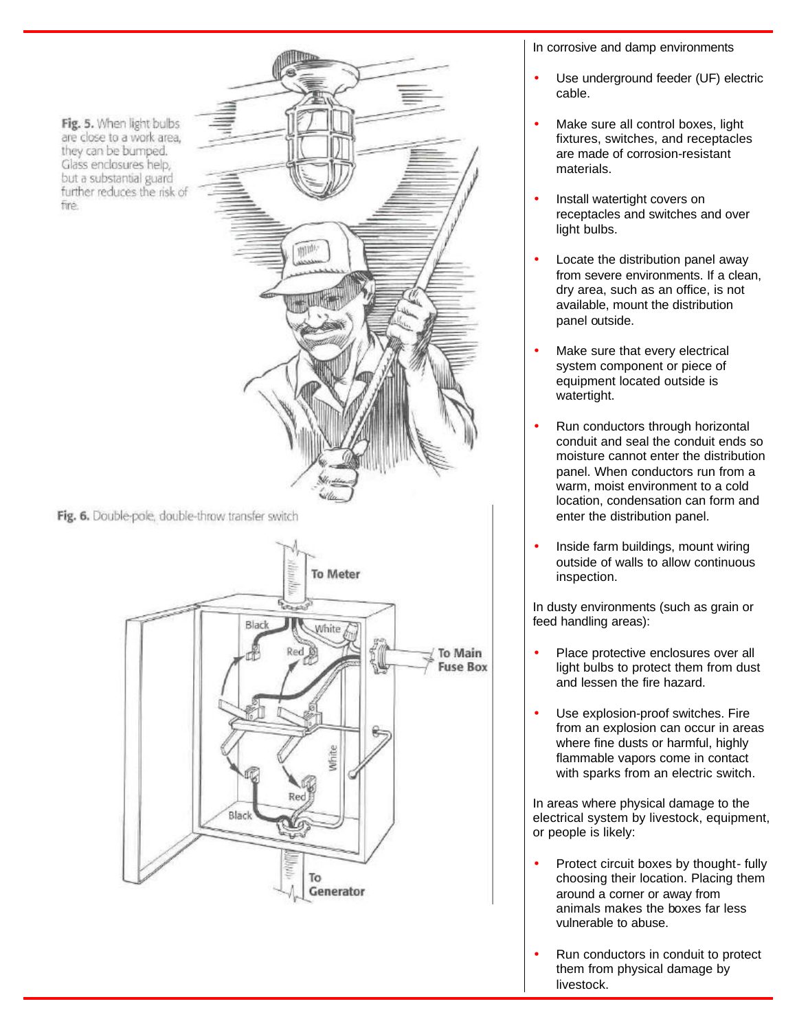Fig. 5. When light bulbs are close to a work area, they can be bumped. Glass enclosures help, but a substantial guard further reduces the risk of fine.



Fig. 6. Double-pole, double-throw transfer switch



In corrosive and damp environments

- Use underground feeder (UF) electric cable.
- Make sure all control boxes, light fixtures, switches, and receptacles are made of corrosion-resistant materials.
- Install watertight covers on receptacles and switches and over light bulbs.
- Locate the distribution panel away from severe environments. If a clean, dry area, such as an office, is not available, mount the distribution panel outside.
- Make sure that every electrical system component or piece of equipment located outside is watertight.
- Run conductors through horizontal conduit and seal the conduit ends so moisture cannot enter the distribution panel. When conductors run from a warm, moist environment to a cold location, condensation can form and enter the distribution panel.
- Inside farm buildings, mount wiring outside of walls to allow continuous inspection.

In dusty environments (such as grain or feed handling areas):

- Place protective enclosures over all light bulbs to protect them from dust and lessen the fire hazard.
- Use explosion-proof switches. Fire from an explosion can occur in areas where fine dusts or harmful, highly flammable vapors come in contact with sparks from an electric switch.

In areas where physical damage to the electrical system by livestock, equipment, or people is likely:

- Protect circuit boxes by thought- fully choosing their location. Placing them around a corner or away from animals makes the boxes far less vulnerable to abuse.
- Run conductors in conduit to protect them from physical damage by livestock.